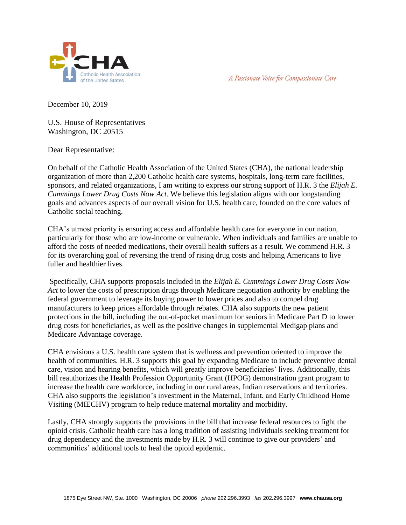



December 10, 2019

U.S. House of Representatives Washington, DC 20515

Dear Representative:

On behalf of the Catholic Health Association of the United States (CHA), the national leadership organization of more than 2,200 Catholic health care systems, hospitals, long-term care facilities, sponsors, and related organizations, I am writing to express our strong support of H.R. 3 the *Elijah E. Cummings Lower Drug Costs Now Act*. We believe this legislation aligns with our longstanding goals and advances aspects of our overall vision for U.S. health care, founded on the core values of Catholic social teaching.

CHA's utmost priority is ensuring access and affordable health care for everyone in our nation, particularly for those who are low-income or vulnerable. When individuals and families are unable to afford the costs of needed medications, their overall health suffers as a result. We commend H.R. 3 for its overarching goal of reversing the trend of rising drug costs and helping Americans to live fuller and healthier lives.

Specifically, CHA supports proposals included in the *Elijah E. Cummings Lower Drug Costs Now Act* to lower the costs of prescription drugs through Medicare negotiation authority by enabling the federal government to leverage its buying power to lower prices and also to compel drug manufacturers to keep prices affordable through rebates. CHA also supports the new patient protections in the bill, including the out-of-pocket maximum for seniors in Medicare Part D to lower drug costs for beneficiaries, as well as the positive changes in supplemental Medigap plans and Medicare Advantage coverage.

CHA envisions a U.S. health care system that is wellness and prevention oriented to improve the health of communities. H.R. 3 supports this goal by expanding Medicare to include preventive dental care, vision and hearing benefits, which will greatly improve beneficiaries' lives. Additionally, this bill reauthorizes the Health Profession Opportunity Grant (HPOG) demonstration grant program to increase the health care workforce, including in our rural areas, Indian reservations and territories. CHA also supports the legislation's investment in the Maternal, Infant, and Early Childhood Home Visiting (MIECHV) program to help reduce maternal mortality and morbidity.

Lastly, CHA strongly supports the provisions in the bill that increase federal resources to fight the opioid crisis. Catholic health care has a long tradition of assisting individuals seeking treatment for drug dependency and the investments made by H.R. 3 will continue to give our providers' and communities' additional tools to heal the opioid epidemic.